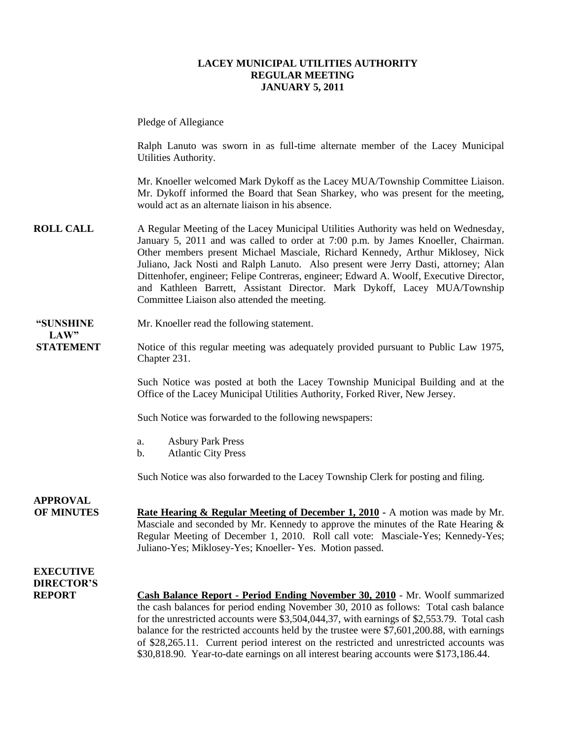### **LACEY MUNICIPAL UTILITIES AUTHORITY REGULAR MEETING JANUARY 5, 2011**

Pledge of Allegiance

Ralph Lanuto was sworn in as full-time alternate member of the Lacey Municipal Utilities Authority.

Mr. Knoeller welcomed Mark Dykoff as the Lacey MUA/Township Committee Liaison. Mr. Dykoff informed the Board that Sean Sharkey, who was present for the meeting, would act as an alternate liaison in his absence.

**ROLL CALL** A Regular Meeting of the Lacey Municipal Utilities Authority was held on Wednesday, January 5, 2011 and was called to order at 7:00 p.m. by James Knoeller, Chairman. Other members present Michael Masciale, Richard Kennedy, Arthur Miklosey, Nick Juliano, Jack Nosti and Ralph Lanuto. Also present were Jerry Dasti, attorney; Alan Dittenhofer, engineer; Felipe Contreras, engineer; Edward A. Woolf, Executive Director, and Kathleen Barrett, Assistant Director. Mark Dykoff, Lacey MUA/Township Committee Liaison also attended the meeting.

#### **"SUNSHINE** Mr. Knoeller read the following statement. **LAW"**

**STATEMENT** Notice of this regular meeting was adequately provided pursuant to Public Law 1975, Chapter 231.

> Such Notice was posted at both the Lacey Township Municipal Building and at the Office of the Lacey Municipal Utilities Authority, Forked River, New Jersey.

Such Notice was forwarded to the following newspapers:

- a. Asbury Park Press
- b. Atlantic City Press

Such Notice was also forwarded to the Lacey Township Clerk for posting and filing.

**OF MINUTES Rate Hearing & Regular Meeting of December 1, 2010 -** A motion was made by Mr. Masciale and seconded by Mr. Kennedy to approve the minutes of the Rate Hearing  $\&$ Regular Meeting of December 1, 2010. Roll call vote: Masciale-Yes; Kennedy-Yes; Juliano-Yes; Miklosey-Yes; Knoeller- Yes. Motion passed.

### **EXECUTIVE DIRECTOR'S**

**APPROVAL**

**REPORT Cash Balance Report - Period Ending November 30, 2010** - Mr. Woolf summarized the cash balances for period ending November 30, 2010 as follows: Total cash balance for the unrestricted accounts were \$3,504,044,37, with earnings of \$2,553.79. Total cash balance for the restricted accounts held by the trustee were \$7,601,200.88, with earnings of \$28,265.11. Current period interest on the restricted and unrestricted accounts was \$30,818.90. Year-to-date earnings on all interest bearing accounts were \$173,186.44.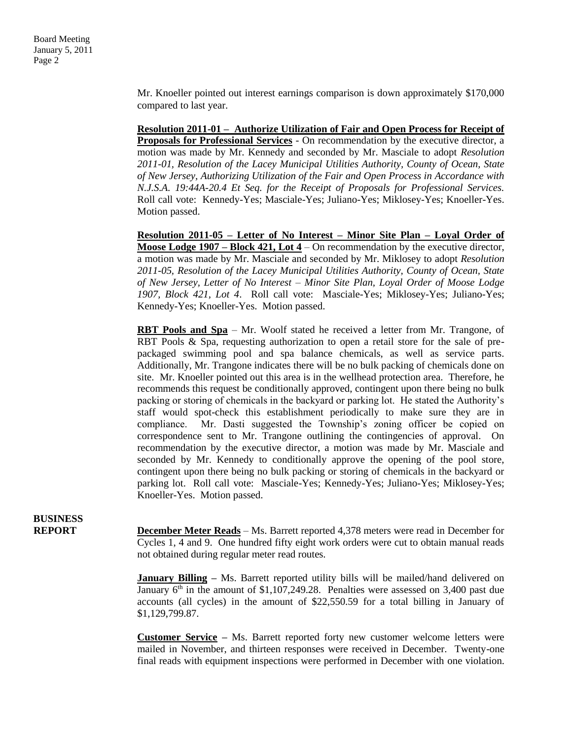Mr. Knoeller pointed out interest earnings comparison is down approximately \$170,000 compared to last year.

**Resolution 2011-01 – Authorize Utilization of Fair and Open Process for Receipt of Proposals for Professional Services** - On recommendation by the executive director, a motion was made by Mr. Kennedy and seconded by Mr. Masciale to adopt *Resolution 2011-01, Resolution of the Lacey Municipal Utilities Authority, County of Ocean, State of New Jersey, Authorizing Utilization of the Fair and Open Process in Accordance with N.J.S.A. 19:44A-20.4 Et Seq. for the Receipt of Proposals for Professional Services.*  Roll call vote: Kennedy-Yes; Masciale-Yes; Juliano-Yes; Miklosey-Yes; Knoeller-Yes. Motion passed.

**Resolution 2011-05 – Letter of No Interest – Minor Site Plan – Loyal Order of Moose Lodge 1907 – Block 421, Lot 4** – On recommendation by the executive director, a motion was made by Mr. Masciale and seconded by Mr. Miklosey to adopt *Resolution 2011-05, Resolution of the Lacey Municipal Utilities Authority, County of Ocean, State of New Jersey, Letter of No Interest – Minor Site Plan, Loyal Order of Moose Lodge 1907, Block 421, Lot 4*. Roll call vote: Masciale-Yes; Miklosey-Yes; Juliano-Yes; Kennedy-Yes; Knoeller-Yes. Motion passed.

**RBT Pools and Spa** – Mr. Woolf stated he received a letter from Mr. Trangone, of RBT Pools & Spa, requesting authorization to open a retail store for the sale of prepackaged swimming pool and spa balance chemicals, as well as service parts. Additionally, Mr. Trangone indicates there will be no bulk packing of chemicals done on site. Mr. Knoeller pointed out this area is in the wellhead protection area. Therefore, he recommends this request be conditionally approved, contingent upon there being no bulk packing or storing of chemicals in the backyard or parking lot. He stated the Authority's staff would spot-check this establishment periodically to make sure they are in compliance. Mr. Dasti suggested the Township's zoning officer be copied on correspondence sent to Mr. Trangone outlining the contingencies of approval. On recommendation by the executive director, a motion was made by Mr. Masciale and seconded by Mr. Kennedy to conditionally approve the opening of the pool store, contingent upon there being no bulk packing or storing of chemicals in the backyard or parking lot. Roll call vote: Masciale-Yes; Kennedy-Yes; Juliano-Yes; Miklosey-Yes; Knoeller-Yes. Motion passed.

**BUSINESS**

**REPORT December Meter Reads** – Ms. Barrett reported 4,378 meters were read in December for Cycles 1, 4 and 9. One hundred fifty eight work orders were cut to obtain manual reads not obtained during regular meter read routes.

> **January Billing** – Ms. Barrett reported utility bills will be mailed/hand delivered on January  $6<sup>th</sup>$  in the amount of \$1,107,249.28. Penalties were assessed on 3,400 past due accounts (all cycles) in the amount of \$22,550.59 for a total billing in January of \$1,129,799.87.

> **Customer Service –** Ms. Barrett reported forty new customer welcome letters were mailed in November, and thirteen responses were received in December. Twenty-one final reads with equipment inspections were performed in December with one violation.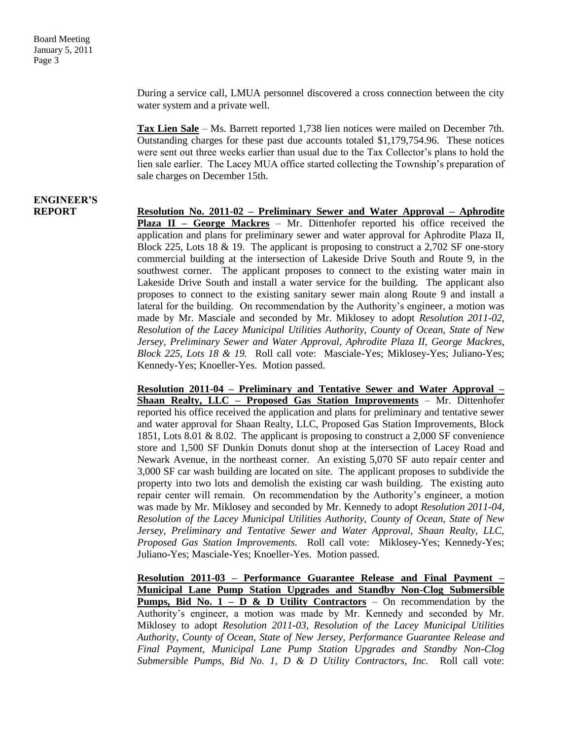During a service call, LMUA personnel discovered a cross connection between the city water system and a private well.

**Tax Lien Sale** – Ms. Barrett reported 1,738 lien notices were mailed on December 7th. Outstanding charges for these past due accounts totaled \$1,179,754.96. These notices were sent out three weeks earlier than usual due to the Tax Collector's plans to hold the lien sale earlier. The Lacey MUA office started collecting the Township's preparation of sale charges on December 15th.

## **ENGINEER'S**

**REPORT Resolution No. 2011-02 – Preliminary Sewer and Water Approval – Aphrodite Plaza II – George Mackres** – Mr. Dittenhofer reported his office received the application and plans for preliminary sewer and water approval for Aphrodite Plaza II, Block 225, Lots 18 & 19. The applicant is proposing to construct a 2,702 SF one-story commercial building at the intersection of Lakeside Drive South and Route 9, in the southwest corner. The applicant proposes to connect to the existing water main in Lakeside Drive South and install a water service for the building. The applicant also proposes to connect to the existing sanitary sewer main along Route 9 and install a lateral for the building. On recommendation by the Authority's engineer, a motion was made by Mr. Masciale and seconded by Mr. Miklosey to adopt *Resolution 2011-02, Resolution of the Lacey Municipal Utilities Authority, County of Ocean, State of New Jersey, Preliminary Sewer and Water Approval, Aphrodite Plaza II, George Mackres, Block 225, Lots 18 & 19.* Roll call vote: Masciale-Yes; Miklosey-Yes; Juliano-Yes; Kennedy-Yes; Knoeller-Yes. Motion passed.

> **Resolution 2011-04 – Preliminary and Tentative Sewer and Water Approval – Shaan Realty, LLC – Proposed Gas Station Improvements** – Mr. Dittenhofer reported his office received the application and plans for preliminary and tentative sewer and water approval for Shaan Realty, LLC, Proposed Gas Station Improvements, Block 1851, Lots 8.01 & 8.02. The applicant is proposing to construct a 2,000 SF convenience store and 1,500 SF Dunkin Donuts donut shop at the intersection of Lacey Road and Newark Avenue, in the northeast corner. An existing 5,070 SF auto repair center and 3,000 SF car wash building are located on site. The applicant proposes to subdivide the property into two lots and demolish the existing car wash building. The existing auto repair center will remain. On recommendation by the Authority's engineer, a motion was made by Mr. Miklosey and seconded by Mr. Kennedy to adopt *Resolution 2011-04*, *Resolution of the Lacey Municipal Utilities Authority, County of Ocean, State of New Jersey, Preliminary and Tentative Sewer and Water Approval, Shaan Realty, LLC, Proposed Gas Station Improvements.* Roll call vote: Miklosey-Yes; Kennedy-Yes; Juliano-Yes; Masciale-Yes; Knoeller-Yes. Motion passed.

> **Resolution 2011-03 – Performance Guarantee Release and Final Payment – Municipal Lane Pump Station Upgrades and Standby Non-Clog Submersible Pumps, Bid No. 1 – D & D Utility Contractors** – On recommendation by the Authority's engineer, a motion was made by Mr. Kennedy and seconded by Mr. Miklosey to adopt *Resolution 2011-03, Resolution of the Lacey Municipal Utilities Authority, County of Ocean, State of New Jersey, Performance Guarantee Release and Final Payment, Municipal Lane Pump Station Upgrades and Standby Non-Clog*  Submersible Pumps, Bid No. 1, D & D Utility Contractors, Inc. Roll call vote: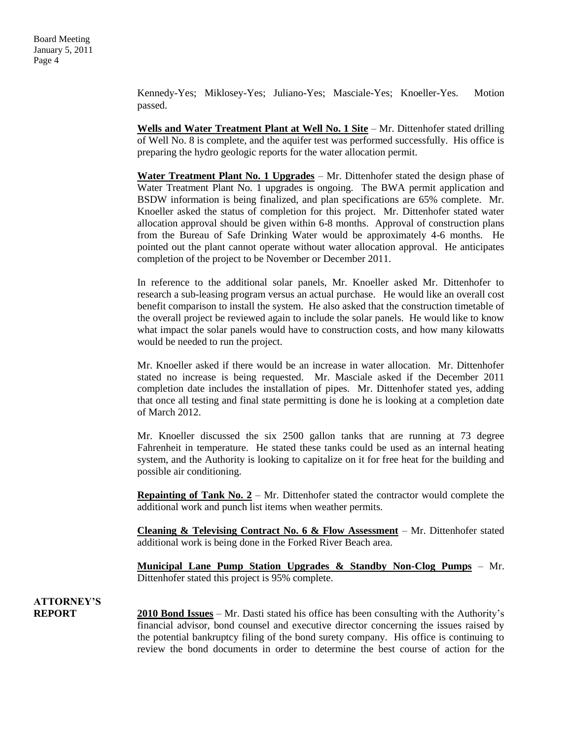Kennedy-Yes; Miklosey-Yes; Juliano-Yes; Masciale-Yes; Knoeller-Yes. Motion passed.

**Wells and Water Treatment Plant at Well No. 1 Site** – Mr. Dittenhofer stated drilling of Well No. 8 is complete, and the aquifer test was performed successfully. His office is preparing the hydro geologic reports for the water allocation permit.

**Water Treatment Plant No. 1 Upgrades** – Mr. Dittenhofer stated the design phase of Water Treatment Plant No. 1 upgrades is ongoing. The BWA permit application and BSDW information is being finalized, and plan specifications are 65% complete. Mr. Knoeller asked the status of completion for this project. Mr. Dittenhofer stated water allocation approval should be given within 6-8 months. Approval of construction plans from the Bureau of Safe Drinking Water would be approximately 4-6 months. He pointed out the plant cannot operate without water allocation approval. He anticipates completion of the project to be November or December 2011.

In reference to the additional solar panels, Mr. Knoeller asked Mr. Dittenhofer to research a sub-leasing program versus an actual purchase. He would like an overall cost benefit comparison to install the system. He also asked that the construction timetable of the overall project be reviewed again to include the solar panels. He would like to know what impact the solar panels would have to construction costs, and how many kilowatts would be needed to run the project.

Mr. Knoeller asked if there would be an increase in water allocation. Mr. Dittenhofer stated no increase is being requested. Mr. Masciale asked if the December 2011 completion date includes the installation of pipes. Mr. Dittenhofer stated yes, adding that once all testing and final state permitting is done he is looking at a completion date of March 2012.

Mr. Knoeller discussed the six 2500 gallon tanks that are running at 73 degree Fahrenheit in temperature. He stated these tanks could be used as an internal heating system, and the Authority is looking to capitalize on it for free heat for the building and possible air conditioning.

**Repainting of Tank No.**  $2 - Mr$ **.** Dittenhofer stated the contractor would complete the additional work and punch list items when weather permits.

**Cleaning & Televising Contract No. 6 & Flow Assessment** – Mr. Dittenhofer stated additional work is being done in the Forked River Beach area.

**Municipal Lane Pump Station Upgrades & Standby Non-Clog Pumps** – Mr. Dittenhofer stated this project is 95% complete.

**ATTORNEY'S**

**REPORT 2010 Bond Issues** – Mr. Dasti stated his office has been consulting with the Authority's financial advisor, bond counsel and executive director concerning the issues raised by the potential bankruptcy filing of the bond surety company. His office is continuing to review the bond documents in order to determine the best course of action for the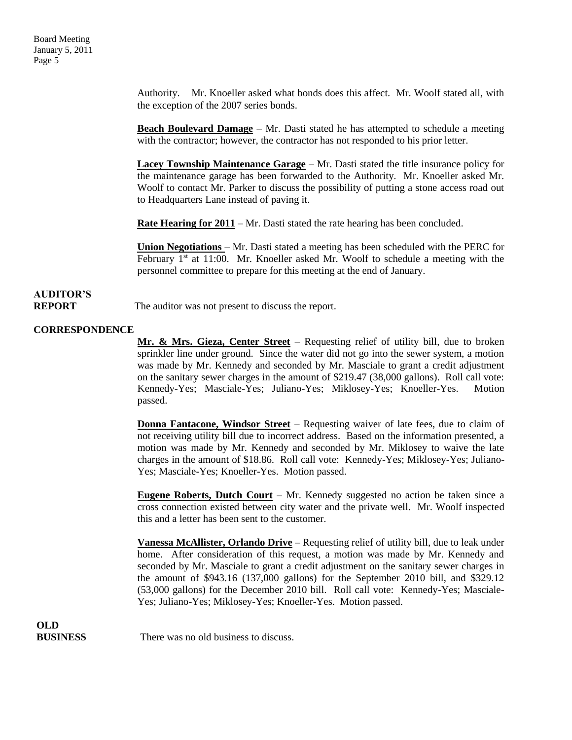Authority. Mr. Knoeller asked what bonds does this affect. Mr. Woolf stated all, with the exception of the 2007 series bonds.

**Beach Boulevard Damage** – Mr. Dasti stated he has attempted to schedule a meeting with the contractor; however, the contractor has not responded to his prior letter.

**Lacey Township Maintenance Garage** – Mr. Dasti stated the title insurance policy for the maintenance garage has been forwarded to the Authority. Mr. Knoeller asked Mr. Woolf to contact Mr. Parker to discuss the possibility of putting a stone access road out to Headquarters Lane instead of paving it.

**Rate Hearing for 2011** – Mr. Dasti stated the rate hearing has been concluded.

**Union Negotiations** – Mr. Dasti stated a meeting has been scheduled with the PERC for February  $1<sup>st</sup>$  at 11:00. Mr. Knoeller asked Mr. Woolf to schedule a meeting with the personnel committee to prepare for this meeting at the end of January.

## **AUDITOR'S**

**REPORT** The auditor was not present to discuss the report.

### **CORRESPONDENCE**

**Mr. & Mrs. Gieza, Center Street** – Requesting relief of utility bill, due to broken sprinkler line under ground. Since the water did not go into the sewer system, a motion was made by Mr. Kennedy and seconded by Mr. Masciale to grant a credit adjustment on the sanitary sewer charges in the amount of \$219.47 (38,000 gallons). Roll call vote: Kennedy-Yes; Masciale-Yes; Juliano-Yes; Miklosey-Yes; Knoeller-Yes. Motion passed.

**Donna Fantacone, Windsor Street** – Requesting waiver of late fees, due to claim of not receiving utility bill due to incorrect address. Based on the information presented, a motion was made by Mr. Kennedy and seconded by Mr. Miklosey to waive the late charges in the amount of \$18.86. Roll call vote: Kennedy-Yes; Miklosey-Yes; Juliano-Yes; Masciale-Yes; Knoeller-Yes. Motion passed.

**Eugene Roberts, Dutch Court** – Mr. Kennedy suggested no action be taken since a cross connection existed between city water and the private well. Mr. Woolf inspected this and a letter has been sent to the customer.

**Vanessa McAllister, Orlando Drive** – Requesting relief of utility bill, due to leak under home. After consideration of this request, a motion was made by Mr. Kennedy and seconded by Mr. Masciale to grant a credit adjustment on the sanitary sewer charges in the amount of \$943.16 (137,000 gallons) for the September 2010 bill, and \$329.12 (53,000 gallons) for the December 2010 bill. Roll call vote: Kennedy-Yes; Masciale-Yes; Juliano-Yes; Miklosey-Yes; Knoeller-Yes. Motion passed.

**OLD**

**BUSINESS** There was no old business to discuss.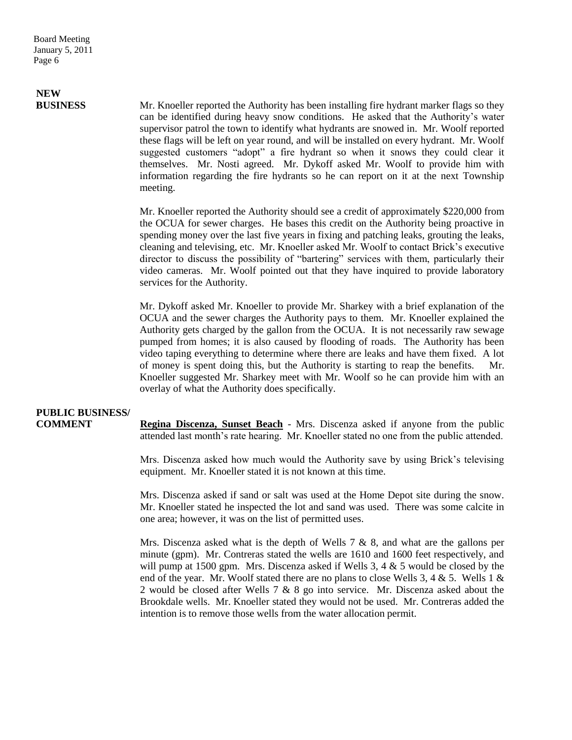# **NEW**

**BUSINESS** Mr. Knoeller reported the Authority has been installing fire hydrant marker flags so they can be identified during heavy snow conditions. He asked that the Authority's water supervisor patrol the town to identify what hydrants are snowed in. Mr. Woolf reported these flags will be left on year round, and will be installed on every hydrant. Mr. Woolf suggested customers "adopt" a fire hydrant so when it snows they could clear it themselves. Mr. Nosti agreed. Mr. Dykoff asked Mr. Woolf to provide him with information regarding the fire hydrants so he can report on it at the next Township meeting.

> Mr. Knoeller reported the Authority should see a credit of approximately \$220,000 from the OCUA for sewer charges. He bases this credit on the Authority being proactive in spending money over the last five years in fixing and patching leaks, grouting the leaks, cleaning and televising, etc. Mr. Knoeller asked Mr. Woolf to contact Brick's executive director to discuss the possibility of "bartering" services with them, particularly their video cameras. Mr. Woolf pointed out that they have inquired to provide laboratory services for the Authority.

> Mr. Dykoff asked Mr. Knoeller to provide Mr. Sharkey with a brief explanation of the OCUA and the sewer charges the Authority pays to them. Mr. Knoeller explained the Authority gets charged by the gallon from the OCUA. It is not necessarily raw sewage pumped from homes; it is also caused by flooding of roads. The Authority has been video taping everything to determine where there are leaks and have them fixed. A lot of money is spent doing this, but the Authority is starting to reap the benefits. Mr. Knoeller suggested Mr. Sharkey meet with Mr. Woolf so he can provide him with an overlay of what the Authority does specifically.

### **PUBLIC BUSINESS/**

**COMMENT Regina Discenza, Sunset Beach** - Mrs. Discenza asked if anyone from the public attended last month's rate hearing. Mr. Knoeller stated no one from the public attended.

> Mrs. Discenza asked how much would the Authority save by using Brick's televising equipment. Mr. Knoeller stated it is not known at this time.

> Mrs. Discenza asked if sand or salt was used at the Home Depot site during the snow. Mr. Knoeller stated he inspected the lot and sand was used. There was some calcite in one area; however, it was on the list of permitted uses.

> Mrs. Discenza asked what is the depth of Wells  $7 \& 8$ , and what are the gallons per minute (gpm). Mr. Contreras stated the wells are 1610 and 1600 feet respectively, and will pump at 1500 gpm. Mrs. Discenza asked if Wells 3, 4 & 5 would be closed by the end of the year. Mr. Woolf stated there are no plans to close Wells 3, 4 & 5. Wells 1 & 2 would be closed after Wells 7 & 8 go into service. Mr. Discenza asked about the Brookdale wells. Mr. Knoeller stated they would not be used. Mr. Contreras added the intention is to remove those wells from the water allocation permit.